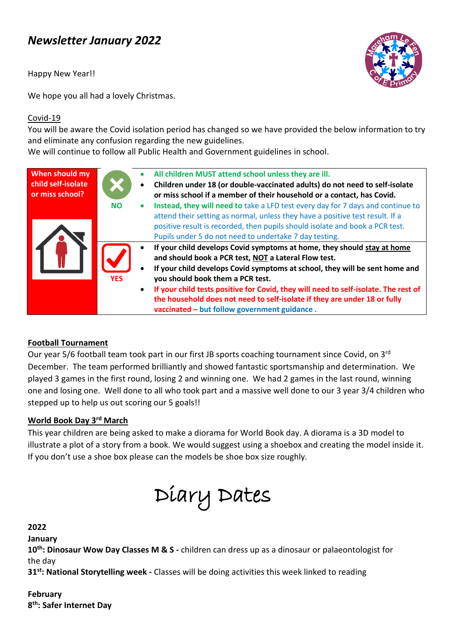# *Newsletter January 2022*

Happy New Year!!



We hope you all had a lovely Christmas.

#### Covid-19

You will be aware the Covid isolation period has changed so we have provided the below information to try and eliminate any confusion regarding the new guidelines.

We will continue to follow all Public Health and Government guidelines in school.

| When should my<br>child self-isolate<br>or miss school? | $\bullet$<br><b>NO</b><br>$\bullet$ | All children MUST attend school unless they are ill.<br>Children under 18 (or double-vaccinated adults) do not need to self-isolate<br>or miss school if a member of their household or a contact, has Covid.<br>Instead, they will need to take a LFD test every day for 7 days and continue to<br>attend their setting as normal, unless they have a positive test result. If a                                                                                                                                                                                                                                             |
|---------------------------------------------------------|-------------------------------------|-------------------------------------------------------------------------------------------------------------------------------------------------------------------------------------------------------------------------------------------------------------------------------------------------------------------------------------------------------------------------------------------------------------------------------------------------------------------------------------------------------------------------------------------------------------------------------------------------------------------------------|
|                                                         | <b>YES</b>                          | positive result is recorded, then pupils should isolate and book a PCR test.<br>Pupils under 5 do not need to undertake 7 day testing.<br>If your child develops Covid symptoms at home, they should stay at home<br>and should book a PCR test, NOT a Lateral Flow test.<br>If your child develops Covid symptoms at school, they will be sent home and<br>you should book them a PCR test.<br>If your child tests positive for Covid, they will need to self-isolate. The rest of<br>$\bullet$<br>the household does not need to self-isolate if they are under 18 or fully<br>vaccinated - but follow government guidance. |

### **Football Tournament**

Our year 5/6 football team took part in our first JB sports coaching tournament since Covid, on 3<sup>rd</sup> December. The team performed brilliantly and showed fantastic sportsmanship and determination. We played 3 games in the first round, losing 2 and winning one. We had 2 games in the last round, winning one and losing one. Well done to all who took part and a massive well done to our 3 year 3/4 children who stepped up to help us out scoring our 5 goals!!

#### **World Book Day 3rd March**

This year children are being asked to make a diorama for World Book day. A diorama is a 3D model to illustrate a plot of a story from a book. We would suggest using a shoebox and creating the model inside it. If you don't use a shoe box please can the models be shoe box size roughly.



#### **2022**

**January**

**10th: Dinosaur Wow Day Classes M & S -** children can dress up as a dinosaur or palaeontologist for the day

**31st: National Storytelling week -** Classes will be doing activities this week linked to reading

#### **February 8 th: Safer Internet Day**